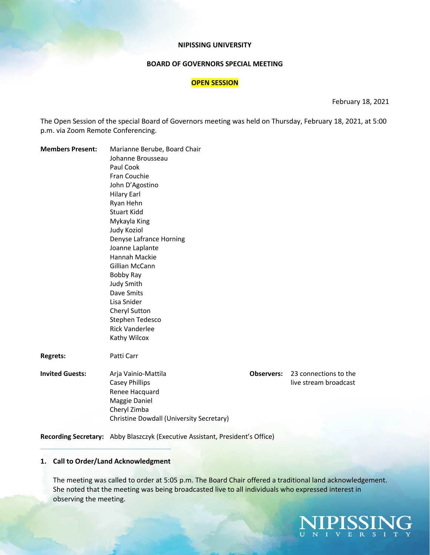#### **NIPISSING UNIVERSITY**

#### **BOARD OF GOVERNORS SPECIAL MEETING**

#### **OPEN SESSION**

February 18, 2021

The Open Session of the special Board of Governors meeting was held on Thursday, February 18, 2021, at 5:00 p.m. via Zoom Remote Conferencing.

| <b>Members Present:</b> | Marianne Berube, Board Chair             |                   |                       |  |
|-------------------------|------------------------------------------|-------------------|-----------------------|--|
|                         | Johanne Brousseau                        |                   |                       |  |
|                         | Paul Cook                                |                   |                       |  |
|                         | Fran Couchie                             |                   |                       |  |
|                         | John D'Agostino                          |                   |                       |  |
|                         | <b>Hilary Earl</b>                       |                   |                       |  |
|                         | Ryan Hehn                                |                   |                       |  |
|                         | <b>Stuart Kidd</b>                       |                   |                       |  |
|                         | Mykayla King                             |                   |                       |  |
|                         | Judy Koziol                              |                   |                       |  |
|                         | Denyse Lafrance Horning                  |                   |                       |  |
|                         | Joanne Laplante                          |                   |                       |  |
|                         | Hannah Mackie                            |                   |                       |  |
|                         | Gillian McCann                           |                   |                       |  |
|                         | <b>Bobby Ray</b>                         |                   |                       |  |
|                         | Judy Smith                               |                   |                       |  |
|                         | Dave Smits                               |                   |                       |  |
|                         | Lisa Snider                              |                   |                       |  |
|                         | Cheryl Sutton                            |                   |                       |  |
|                         | Stephen Tedesco                          |                   |                       |  |
|                         | <b>Rick Vanderlee</b>                    |                   |                       |  |
|                         | Kathy Wilcox                             |                   |                       |  |
| <b>Regrets:</b>         | Patti Carr                               |                   |                       |  |
| <b>Invited Guests:</b>  | Arja Vainio-Mattila                      | <b>Observers:</b> | 23 connections to the |  |
|                         | <b>Casey Phillips</b>                    |                   | live stream broadcast |  |
|                         | Renee Hacquard                           |                   |                       |  |
|                         | Maggie Daniel                            |                   |                       |  |
|                         | Cheryl Zimba                             |                   |                       |  |
|                         | Christine Dowdall (University Secretary) |                   |                       |  |
|                         | $\cdots$                                 |                   |                       |  |

**Recording Secretary:** Abby Blaszczyk (Executive Assistant, President's Office)

# **1. Call to Order/Land Acknowledgment**

The meeting was called to order at 5:05 p.m. The Board Chair offered a traditional land acknowledgement. She noted that the meeting was being broadcasted live to all individuals who expressed interest in observing the meeting.

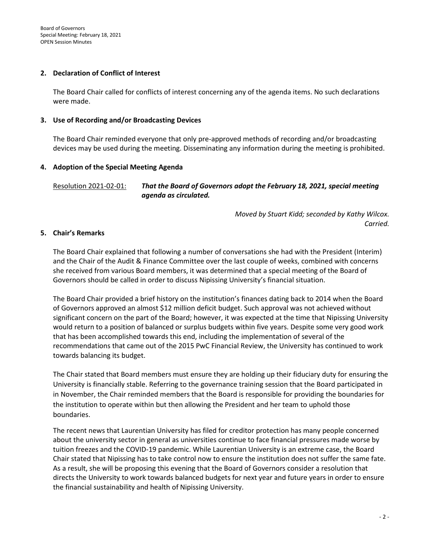Board of Governors Special Meeting: February 18, 2021 OPEN Session Minutes

# **2. Declaration of Conflict of Interest**

The Board Chair called for conflicts of interest concerning any of the agenda items. No such declarations were made.

#### **3. Use of Recording and/or Broadcasting Devices**

The Board Chair reminded everyone that only pre-approved methods of recording and/or broadcasting devices may be used during the meeting. Disseminating any information during the meeting is prohibited.

### **4. Adoption of the Special Meeting Agenda**

Resolution 2021-02-01: *That the Board of Governors adopt the February 18, 2021, special meeting agenda as circulated.*

> *Moved by Stuart Kidd; seconded by Kathy Wilcox. Carried.*

# **5. Chair's Remarks**

The Board Chair explained that following a number of conversations she had with the President (Interim) and the Chair of the Audit & Finance Committee over the last couple of weeks, combined with concerns she received from various Board members, it was determined that a special meeting of the Board of Governors should be called in order to discuss Nipissing University's financial situation.

The Board Chair provided a brief history on the institution's finances dating back to 2014 when the Board of Governors approved an almost \$12 million deficit budget. Such approval was not achieved without significant concern on the part of the Board; however, it was expected at the time that Nipissing University would return to a position of balanced or surplus budgets within five years. Despite some very good work that has been accomplished towards this end, including the implementation of several of the recommendations that came out of the 2015 PwC Financial Review, the University has continued to work towards balancing its budget.

The Chair stated that Board members must ensure they are holding up their fiduciary duty for ensuring the University is financially stable. Referring to the governance training session that the Board participated in in November, the Chair reminded members that the Board is responsible for providing the boundaries for the institution to operate within but then allowing the President and her team to uphold those boundaries.

The recent news that Laurentian University has filed for creditor protection has many people concerned about the university sector in general as universities continue to face financial pressures made worse by tuition freezes and the COVID-19 pandemic. While Laurentian University is an extreme case, the Board Chair stated that Nipissing has to take control now to ensure the institution does not suffer the same fate. As a result, she will be proposing this evening that the Board of Governors consider a resolution that directs the University to work towards balanced budgets for next year and future years in order to ensure the financial sustainability and health of Nipissing University.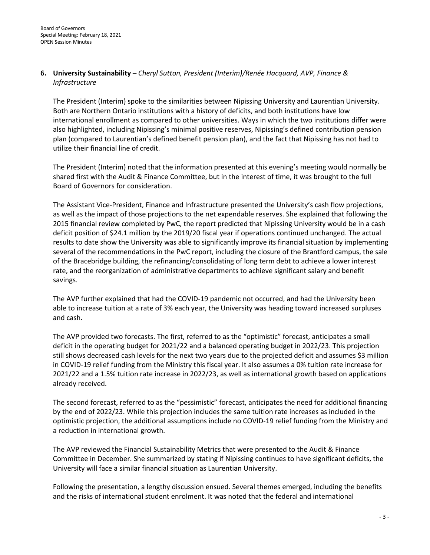# **6. University Sustainability** *– Cheryl Sutton, President (Interim)/Renée Hacquard, AVP, Finance & Infrastructure*

The President (Interim) spoke to the similarities between Nipissing University and Laurentian University. Both are Northern Ontario institutions with a history of deficits, and both institutions have low international enrollment as compared to other universities. Ways in which the two institutions differ were also highlighted, including Nipissing's minimal positive reserves, Nipissing's defined contribution pension plan (compared to Laurentian's defined benefit pension plan), and the fact that Nipissing has not had to utilize their financial line of credit.

The President (Interim) noted that the information presented at this evening's meeting would normally be shared first with the Audit & Finance Committee, but in the interest of time, it was brought to the full Board of Governors for consideration.

The Assistant Vice-President, Finance and Infrastructure presented the University's cash flow projections, as well as the impact of those projections to the net expendable reserves. She explained that following the 2015 financial review completed by PwC, the report predicted that Nipissing University would be in a cash deficit position of \$24.1 million by the 2019/20 fiscal year if operations continued unchanged. The actual results to date show the University was able to significantly improve its financial situation by implementing several of the recommendations in the PwC report, including the closure of the Brantford campus, the sale of the Bracebridge building, the refinancing/consolidating of long term debt to achieve a lower interest rate, and the reorganization of administrative departments to achieve significant salary and benefit savings.

The AVP further explained that had the COVID-19 pandemic not occurred, and had the University been able to increase tuition at a rate of 3% each year, the University was heading toward increased surpluses and cash.

The AVP provided two forecasts. The first, referred to as the "optimistic" forecast, anticipates a small deficit in the operating budget for 2021/22 and a balanced operating budget in 2022/23. This projection still shows decreased cash levels for the next two years due to the projected deficit and assumes \$3 million in COVID-19 relief funding from the Ministry this fiscal year. It also assumes a 0% tuition rate increase for 2021/22 and a 1.5% tuition rate increase in 2022/23, as well as international growth based on applications already received.

The second forecast, referred to as the "pessimistic" forecast, anticipates the need for additional financing by the end of 2022/23. While this projection includes the same tuition rate increases as included in the optimistic projection, the additional assumptions include no COVID-19 relief funding from the Ministry and a reduction in international growth.

The AVP reviewed the Financial Sustainability Metrics that were presented to the Audit & Finance Committee in December. She summarized by stating if Nipissing continues to have significant deficits, the University will face a similar financial situation as Laurentian University.

Following the presentation, a lengthy discussion ensued. Several themes emerged, including the benefits and the risks of international student enrolment. It was noted that the federal and international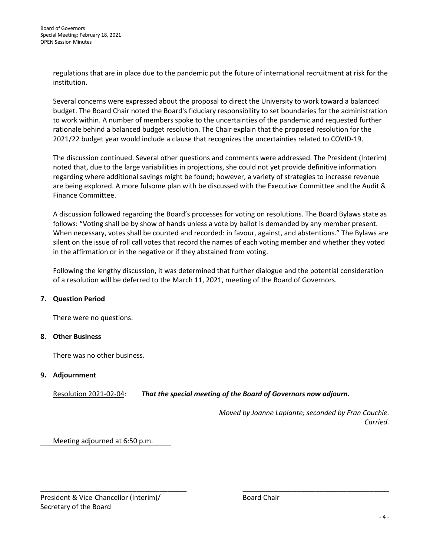regulations that are in place due to the pandemic put the future of international recruitment at risk for the institution.

Several concerns were expressed about the proposal to direct the University to work toward a balanced budget. The Board Chair noted the Board's fiduciary responsibility to set boundaries for the administration to work within. A number of members spoke to the uncertainties of the pandemic and requested further rationale behind a balanced budget resolution. The Chair explain that the proposed resolution for the 2021/22 budget year would include a clause that recognizes the uncertainties related to COVID-19.

The discussion continued. Several other questions and comments were addressed. The President (Interim) noted that, due to the large variabilities in projections, she could not yet provide definitive information regarding where additional savings might be found; however, a variety of strategies to increase revenue are being explored. A more fulsome plan with be discussed with the Executive Committee and the Audit & Finance Committee.

A discussion followed regarding the Board's processes for voting on resolutions. The Board Bylaws state as follows: "Voting shall be by show of hands unless a vote by ballot is demanded by any member present. When necessary, votes shall be counted and recorded: in favour, against, and abstentions." The Bylaws are silent on the issue of roll call votes that record the names of each voting member and whether they voted in the affirmation or in the negative or if they abstained from voting.

Following the lengthy discussion, it was determined that further dialogue and the potential consideration of a resolution will be deferred to the March 11, 2021, meeting of the Board of Governors.

# **7. Question Period**

There were no questions.

# **8. Other Business**

There was no other business.

# **9. Adjournment**

Resolution 2021-02-04: *That the special meeting of the Board of Governors now adjourn.*

\_\_\_\_\_\_\_\_\_\_\_\_\_\_\_\_\_\_\_\_\_\_\_\_\_\_\_\_\_\_\_\_\_\_\_\_\_\_ \_\_\_\_\_\_\_\_\_\_\_\_\_\_\_\_\_\_\_\_\_\_\_\_\_\_\_\_\_\_\_\_\_\_\_\_\_\_

*Moved by Joanne Laplante; seconded by Fran Couchie. Carried.*

Meeting adjourned at 6:50 p.m.

President & Vice-Chancellor (Interim)/ Board Chair Secretary of the Board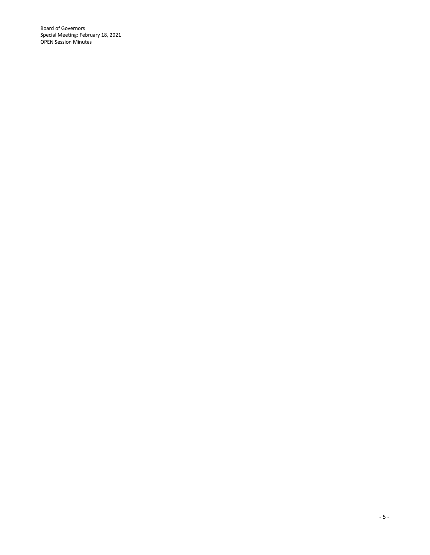Board of Governors Special Meeting: February 18, 2021 OPEN Session Minutes